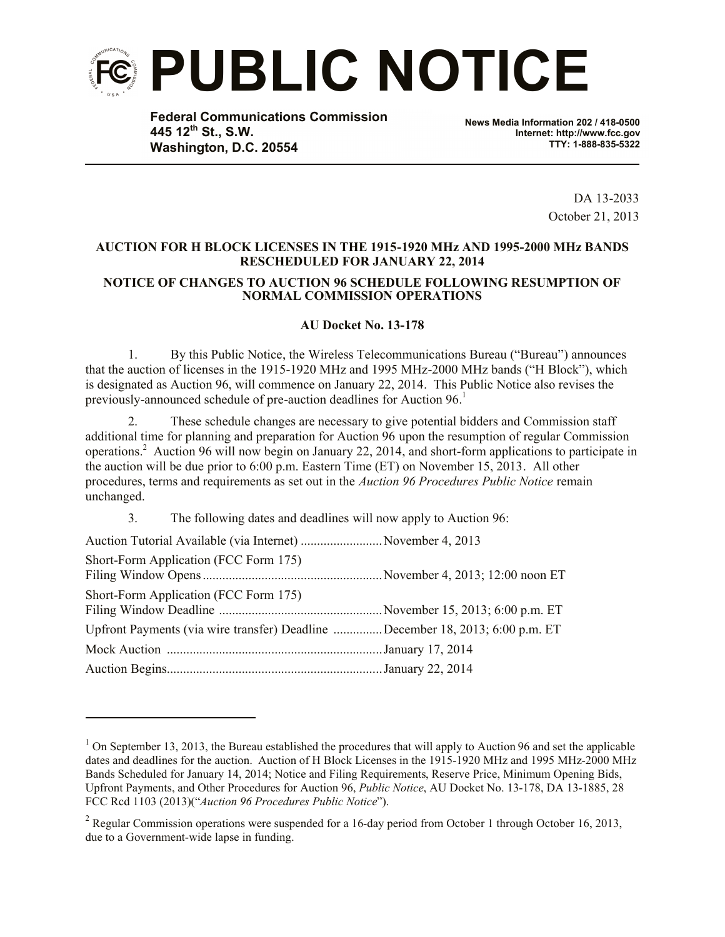

**Federal Communications Commission 445 12th St., S.W. Washington, D.C. 20554**

**News Media Information 202 / 418-0500 Internet: http://www.fcc.gov TTY: 1-888-835-5322**

> DA 13-2033 October 21, 2013

## **AUCTION FOR H BLOCK LICENSES IN THE 1915-1920 MHz AND 1995-2000 MHz BANDS RESCHEDULED FOR JANUARY 22, 2014 NOTICE OF CHANGES TO AUCTION 96 SCHEDULE FOLLOWING RESUMPTION OF NORMAL COMMISSION OPERATIONS**

## **AU Docket No. 13-178**

1. By this Public Notice, the Wireless Telecommunications Bureau ("Bureau") announces that the auction of licenses in the 1915-1920 MHz and 1995 MHz-2000 MHz bands ("H Block"), which is designated as Auction 96, will commence on January 22, 2014. This Public Notice also revises the previously-announced schedule of pre-auction deadlines for Auction 96. 1

2. These schedule changes are necessary to give potential bidders and Commission staff additional time for planning and preparation for Auction 96 upon the resumption of regular Commission operations. 2 Auction 96 will now begin on January 22, 2014, and short-form applications to participate in the auction will be due prior to 6:00 p.m. Eastern Time (ET) on November 15, 2013. All other procedures, terms and requirements as set out in the *Auction 96 Procedures Public Notice* remain unchanged.

3. The following dates and deadlines will now apply to Auction 96:

| Auction Tutorial Available (via Internet) November 4, 2013                    |  |
|-------------------------------------------------------------------------------|--|
| Short-Form Application (FCC Form 175)                                         |  |
| Short-Form Application (FCC Form 175)                                         |  |
| Upfront Payments (via wire transfer) Deadline December 18, 2013; 6:00 p.m. ET |  |
|                                                                               |  |
|                                                                               |  |

l

 $1$  On September 13, 2013, the Bureau established the procedures that will apply to Auction 96 and set the applicable dates and deadlines for the auction. Auction of H Block Licenses in the 1915-1920 MHz and 1995 MHz-2000 MHz Bands Scheduled for January 14, 2014; Notice and Filing Requirements, Reserve Price, Minimum Opening Bids, Upfront Payments, and Other Procedures for Auction 96, *Public Notice*, AU Docket No. 13-178, DA 13-1885, 28 FCC Rcd 1103 (2013)("*Auction 96 Procedures Public Notice*").

<sup>&</sup>lt;sup>2</sup> Regular Commission operations were suspended for a 16-day period from October 1 through October 16, 2013, due to a Government-wide lapse in funding.